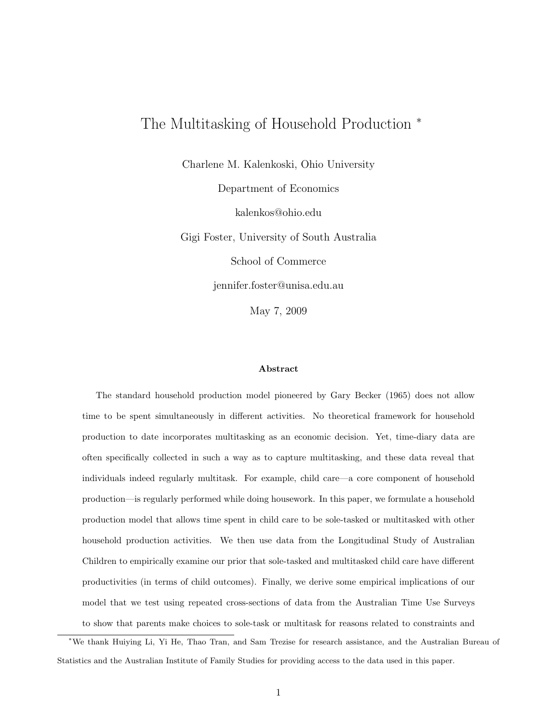# The Multitasking of Household Production <sup>∗</sup>

Charlene M. Kalenkoski, Ohio University

Department of Economics kalenkos@ohio.edu Gigi Foster, University of South Australia School of Commerce jennifer.foster@unisa.edu.au May 7, 2009

#### Abstract

The standard household production model pioneered by Gary Becker (1965) does not allow time to be spent simultaneously in different activities. No theoretical framework for household production to date incorporates multitasking as an economic decision. Yet, time-diary data are often specifically collected in such a way as to capture multitasking, and these data reveal that individuals indeed regularly multitask. For example, child care—a core component of household production—is regularly performed while doing housework. In this paper, we formulate a household production model that allows time spent in child care to be sole-tasked or multitasked with other household production activities. We then use data from the Longitudinal Study of Australian Children to empirically examine our prior that sole-tasked and multitasked child care have different productivities (in terms of child outcomes). Finally, we derive some empirical implications of our model that we test using repeated cross-sections of data from the Australian Time Use Surveys to show that parents make choices to sole-task or multitask for reasons related to constraints and

<sup>∗</sup>We thank Huiying Li, Yi He, Thao Tran, and Sam Trezise for research assistance, and the Australian Bureau of Statistics and the Australian Institute of Family Studies for providing access to the data used in this paper.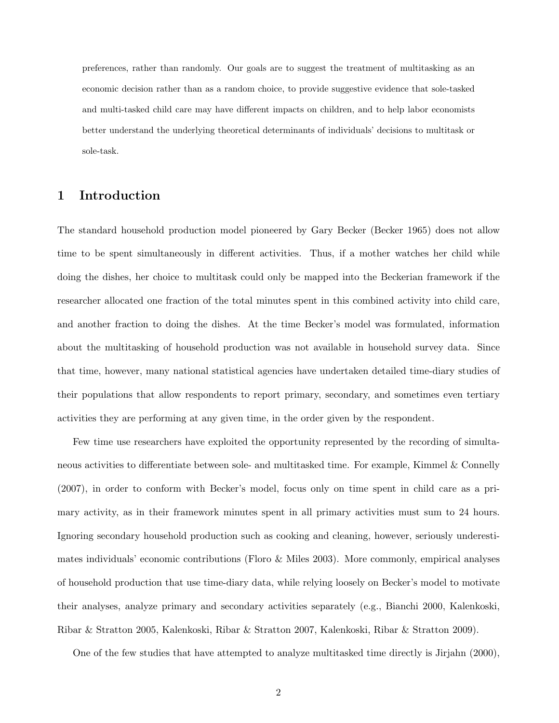preferences, rather than randomly. Our goals are to suggest the treatment of multitasking as an economic decision rather than as a random choice, to provide suggestive evidence that sole-tasked and multi-tasked child care may have different impacts on children, and to help labor economists better understand the underlying theoretical determinants of individuals' decisions to multitask or sole-task.

# 1 Introduction

The standard household production model pioneered by Gary Becker (Becker 1965) does not allow time to be spent simultaneously in different activities. Thus, if a mother watches her child while doing the dishes, her choice to multitask could only be mapped into the Beckerian framework if the researcher allocated one fraction of the total minutes spent in this combined activity into child care, and another fraction to doing the dishes. At the time Becker's model was formulated, information about the multitasking of household production was not available in household survey data. Since that time, however, many national statistical agencies have undertaken detailed time-diary studies of their populations that allow respondents to report primary, secondary, and sometimes even tertiary activities they are performing at any given time, in the order given by the respondent.

Few time use researchers have exploited the opportunity represented by the recording of simultaneous activities to differentiate between sole- and multitasked time. For example, Kimmel & Connelly (2007), in order to conform with Becker's model, focus only on time spent in child care as a primary activity, as in their framework minutes spent in all primary activities must sum to 24 hours. Ignoring secondary household production such as cooking and cleaning, however, seriously underestimates individuals' economic contributions (Floro & Miles 2003). More commonly, empirical analyses of household production that use time-diary data, while relying loosely on Becker's model to motivate their analyses, analyze primary and secondary activities separately (e.g., Bianchi 2000, Kalenkoski, Ribar & Stratton 2005, Kalenkoski, Ribar & Stratton 2007, Kalenkoski, Ribar & Stratton 2009).

One of the few studies that have attempted to analyze multitasked time directly is Jirjahn (2000),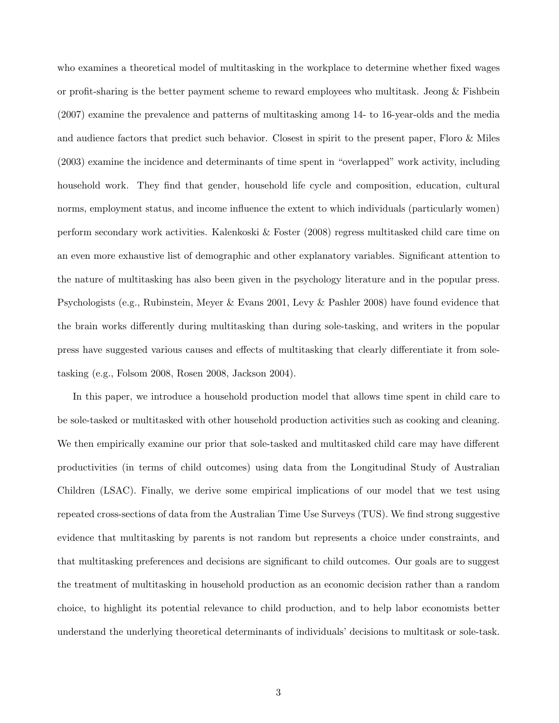who examines a theoretical model of multitasking in the workplace to determine whether fixed wages or profit-sharing is the better payment scheme to reward employees who multitask. Jeong & Fishbein (2007) examine the prevalence and patterns of multitasking among 14- to 16-year-olds and the media and audience factors that predict such behavior. Closest in spirit to the present paper, Floro & Miles (2003) examine the incidence and determinants of time spent in "overlapped" work activity, including household work. They find that gender, household life cycle and composition, education, cultural norms, employment status, and income influence the extent to which individuals (particularly women) perform secondary work activities. Kalenkoski & Foster (2008) regress multitasked child care time on an even more exhaustive list of demographic and other explanatory variables. Significant attention to the nature of multitasking has also been given in the psychology literature and in the popular press. Psychologists (e.g., Rubinstein, Meyer & Evans 2001, Levy & Pashler 2008) have found evidence that the brain works differently during multitasking than during sole-tasking, and writers in the popular press have suggested various causes and effects of multitasking that clearly differentiate it from soletasking (e.g., Folsom 2008, Rosen 2008, Jackson 2004).

In this paper, we introduce a household production model that allows time spent in child care to be sole-tasked or multitasked with other household production activities such as cooking and cleaning. We then empirically examine our prior that sole-tasked and multitasked child care may have different productivities (in terms of child outcomes) using data from the Longitudinal Study of Australian Children (LSAC). Finally, we derive some empirical implications of our model that we test using repeated cross-sections of data from the Australian Time Use Surveys (TUS). We find strong suggestive evidence that multitasking by parents is not random but represents a choice under constraints, and that multitasking preferences and decisions are significant to child outcomes. Our goals are to suggest the treatment of multitasking in household production as an economic decision rather than a random choice, to highlight its potential relevance to child production, and to help labor economists better understand the underlying theoretical determinants of individuals' decisions to multitask or sole-task.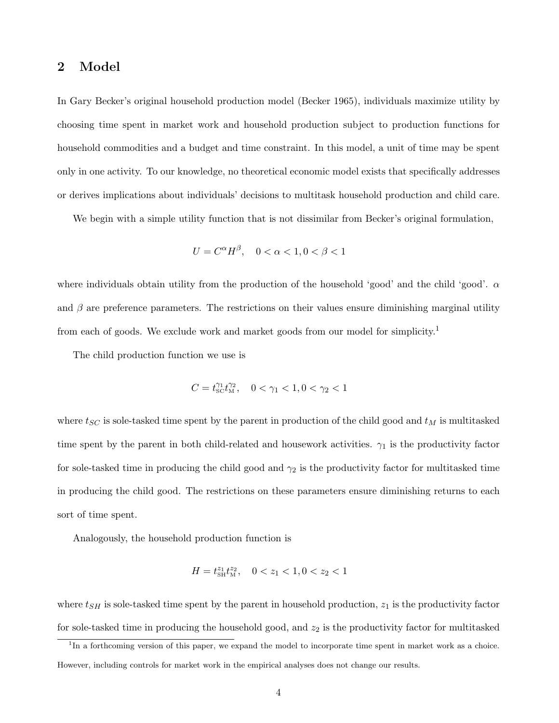## 2 Model

In Gary Becker's original household production model (Becker 1965), individuals maximize utility by choosing time spent in market work and household production subject to production functions for household commodities and a budget and time constraint. In this model, a unit of time may be spent only in one activity. To our knowledge, no theoretical economic model exists that specifically addresses or derives implications about individuals' decisions to multitask household production and child care.

We begin with a simple utility function that is not dissimilar from Becker's original formulation,

$$
U = C^{\alpha} H^{\beta}, \quad 0 < \alpha < 1, 0 < \beta < 1
$$

where individuals obtain utility from the production of the household 'good' and the child 'good'.  $\alpha$ and  $\beta$  are preference parameters. The restrictions on their values ensure diminishing marginal utility from each of goods. We exclude work and market goods from our model for simplicity.<sup>1</sup>

The child production function we use is

$$
C = t_{\rm SC}^{\gamma_1} t_{\rm M}^{\gamma_2}, \quad 0 < \gamma_1 < 1, 0 < \gamma_2 < 1
$$

where  $t_{SC}$  is sole-tasked time spent by the parent in production of the child good and  $t_M$  is multitasked time spent by the parent in both child-related and housework activities.  $\gamma_1$  is the productivity factor for sole-tasked time in producing the child good and  $\gamma_2$  is the productivity factor for multitasked time in producing the child good. The restrictions on these parameters ensure diminishing returns to each sort of time spent.

Analogously, the household production function is

$$
H = t_{\text{SH}}^{z_1} t_{\text{M}}^{z_2}, \quad 0 < z_1 < 1, 0 < z_2 < 1
$$

where  $t_{SH}$  is sole-tasked time spent by the parent in household production,  $z_1$  is the productivity factor for sole-tasked time in producing the household good, and  $z_2$  is the productivity factor for multitasked

<sup>&</sup>lt;sup>1</sup>In a forthcoming version of this paper, we expand the model to incorporate time spent in market work as a choice. However, including controls for market work in the empirical analyses does not change our results.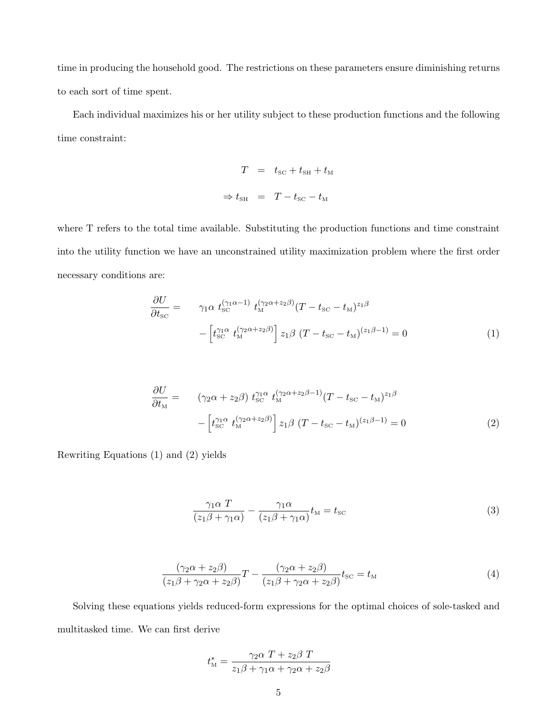time in producing the household good. The restrictions on these parameters ensure diminishing returns to each sort of time spent.

Each individual maximizes his or her utility subject to these production functions and the following time constraint:

$$
T = t_{\text{SC}} + t_{\text{SH}} + t_{\text{M}}
$$

$$
\Rightarrow t_{\text{SH}} = T - t_{\text{SC}} - t_{\text{M}}
$$

where T refers to the total time available. Substituting the production functions and time constraint into the utility function we have an unconstrained utility maximization problem where the first order necessary conditions are:

$$
\frac{\partial U}{\partial t_{\rm SC}} = \gamma_1 \alpha t_{\rm SC}^{(\gamma_1 \alpha - 1)} t_{\rm M}^{(\gamma_2 \alpha + z_2 \beta)} (T - t_{\rm SC} - t_{\rm M})^{z_1 \beta} \n- \left[ t_{\rm SC}^{\gamma_1 \alpha} t_{\rm M}^{(\gamma_2 \alpha + z_2 \beta)} \right] z_1 \beta (T - t_{\rm SC} - t_{\rm M})^{(z_1 \beta - 1)} = 0
$$
\n(1)

$$
\frac{\partial U}{\partial t_{\rm M}} = \left( \gamma_2 \alpha + z_2 \beta \right) t_{\rm SC}^{\gamma_1 \alpha} t_{\rm M}^{(\gamma_2 \alpha + z_2 \beta - 1)} (T - t_{\rm SC} - t_{\rm M})^{z_1 \beta} \n- \left[ t_{\rm SC}^{\gamma_1 \alpha} t_{\rm M}^{(\gamma_2 \alpha + z_2 \beta)} \right] z_1 \beta (T - t_{\rm SC} - t_{\rm M})^{(z_1 \beta - 1)} = 0
$$
\n(2)

Rewriting Equations (1) and (2) yields

$$
\frac{\gamma_1 \alpha T}{(z_1 \beta + \gamma_1 \alpha)} - \frac{\gamma_1 \alpha}{(z_1 \beta + \gamma_1 \alpha)} t_{\rm M} = t_{\rm SC}
$$
\n(3)

$$
\frac{(\gamma_2 \alpha + z_2 \beta)}{(z_1 \beta + \gamma_2 \alpha + z_2 \beta)} T - \frac{(\gamma_2 \alpha + z_2 \beta)}{(z_1 \beta + \gamma_2 \alpha + z_2 \beta)} t_{\rm SC} = t_{\rm M}
$$
\n
$$
\tag{4}
$$

Solving these equations yields reduced-form expressions for the optimal choices of sole-tasked and multitasked time. We can first derive

$$
t_{\mathrm{M}}^* = \frac{\gamma_2 \alpha \ T + z_2 \beta \ T}{z_1 \beta + \gamma_1 \alpha + \gamma_2 \alpha + z_2 \beta}
$$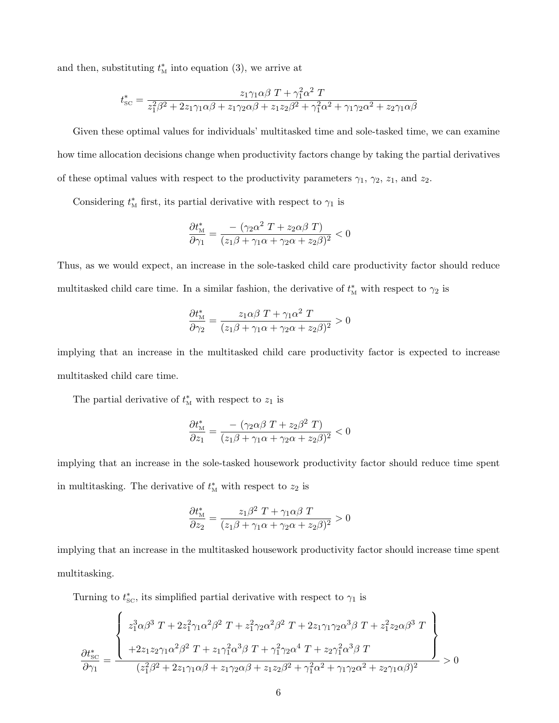and then, substituting  $t_{\text{M}}^*$  into equation (3), we arrive at

$$
t_{\text{SC}}^* = \frac{z_1 \gamma_1 \alpha \beta T + \gamma_1^2 \alpha^2 T}{z_1^2 \beta^2 + 2z_1 \gamma_1 \alpha \beta + z_1 \gamma_2 \alpha \beta + z_1 z_2 \beta^2 + \gamma_1^2 \alpha^2 + \gamma_1 \gamma_2 \alpha^2 + z_2 \gamma_1 \alpha \beta}
$$

Given these optimal values for individuals' multitasked time and sole-tasked time, we can examine how time allocation decisions change when productivity factors change by taking the partial derivatives of these optimal values with respect to the productivity parameters  $\gamma_1$ ,  $\gamma_2$ ,  $z_1$ , and  $z_2$ .

Considering  $t_{\text{M}}^{*}$  first, its partial derivative with respect to  $\gamma_1$  is

$$
\frac{\partial t_{\mathrm{M}}^*}{\partial \gamma_1} = \frac{-\ (\gamma_2 \alpha^2 \ T + z_2 \alpha \beta \ T)}{(z_1 \beta + \gamma_1 \alpha + \gamma_2 \alpha + z_2 \beta)^2} < 0
$$

Thus, as we would expect, an increase in the sole-tasked child care productivity factor should reduce multitasked child care time. In a similar fashion, the derivative of  $t<sub>M</sub><sup>*</sup>$  with respect to  $\gamma_2$  is

$$
\frac{\partial t_{\rm M}^*}{\partial \gamma_2} = \frac{z_1 \alpha \beta T + \gamma_1 \alpha^2 T}{(z_1 \beta + \gamma_1 \alpha + \gamma_2 \alpha + z_2 \beta)^2} > 0
$$

implying that an increase in the multitasked child care productivity factor is expected to increase multitasked child care time.

The partial derivative of  $t_{\text{M}}^*$  with respect to  $z_1$  is

$$
\frac{\partial t_{\mathrm{M}}^*}{\partial z_1} = \frac{-\ (\gamma_2 \alpha \beta \ T + z_2 \beta^2 \ T)}{(z_1 \beta + \gamma_1 \alpha + \gamma_2 \alpha + z_2 \beta)^2} < 0
$$

implying that an increase in the sole-tasked housework productivity factor should reduce time spent in multitasking. The derivative of  $t_{\text{M}}^*$  with respect to  $z_2$  is

$$
\frac{\partial t_{\rm M}^*}{\partial z_2} = \frac{z_1 \beta^2 T + \gamma_1 \alpha \beta T}{(z_1 \beta + \gamma_1 \alpha + \gamma_2 \alpha + z_2 \beta)^2} > 0
$$

implying that an increase in the multitasked housework productivity factor should increase time spent multitasking.

Turning to  $t_{\text{SC}}^*$ , its simplified partial derivative with respect to  $\gamma_1$  is

$$
\frac{\partial t_{\text{SC}}^*}{\partial \gamma_1} = \frac{\left\{\begin{array}{l} z_1^3 \alpha \beta^3 \ T + 2 z_1^2 \gamma_1 \alpha^2 \beta^2 \ T + z_1^2 \gamma_2 \alpha^2 \beta^2 \ T + 2 z_1 \gamma_1 \gamma_2 \alpha^3 \beta \ T + z_1^2 z_2 \alpha \beta^3 \ T \\ + 2 z_1 z_2 \gamma_1 \alpha^2 \beta^2 \ T + z_1 \gamma_1^2 \alpha^3 \beta \ T + \gamma_1^2 \gamma_2 \alpha^4 \ T + z_2 \gamma_1^2 \alpha^3 \beta \ T \\ (z_1^2 \beta^2 + 2 z_1 \gamma_1 \alpha \beta + z_1 \gamma_2 \alpha \beta + z_1 z_2 \beta^2 + \gamma_1^2 \alpha^2 + \gamma_1 \gamma_2 \alpha^2 + z_2 \gamma_1 \alpha \beta)^2 \end{array}\right\}} > 0
$$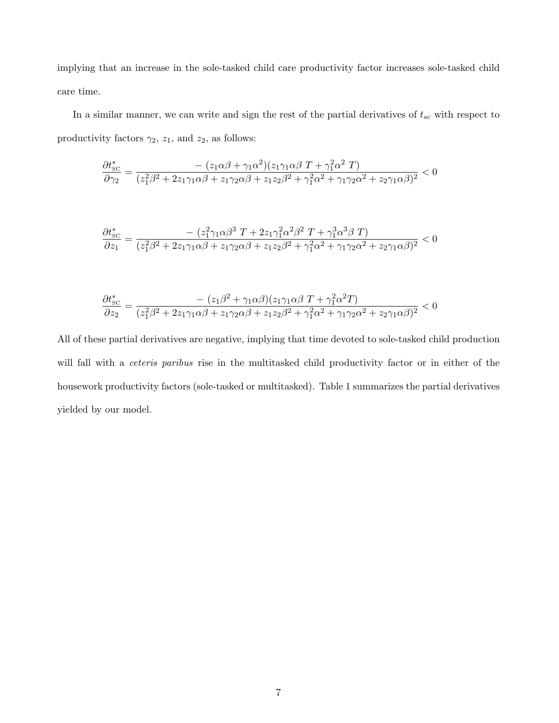implying that an increase in the sole-tasked child care productivity factor increases sole-tasked child care time.

In a similar manner, we can write and sign the rest of the partial derivatives of  $t_{sc}$  with respect to productivity factors  $\gamma_2$ ,  $z_1$ , and  $z_2$ , as follows:

$$
\frac{\partial t_{\text{SC}}^*}{\partial \gamma_2} = \frac{-(z_1\alpha\beta + \gamma_1\alpha^2)(z_1\gamma_1\alpha\beta T + \gamma_1^2\alpha^2 T)}{(z_1^2\beta^2 + 2z_1\gamma_1\alpha\beta + z_1\gamma_2\alpha\beta + z_1z_2\beta^2 + \gamma_1^2\alpha^2 + \gamma_1\gamma_2\alpha^2 + z_2\gamma_1\alpha\beta)^2} < 0
$$

$$
\frac{\partial t_{\text{SC}}^*}{\partial z_1} = \frac{-\left(z_1^2 \gamma_1 \alpha \beta^3 T + 2 z_1 \gamma_1^2 \alpha^2 \beta^2 T + \gamma_1^3 \alpha^3 \beta T\right)}{(z_1^2 \beta^2 + 2 z_1 \gamma_1 \alpha \beta + z_1 \gamma_2 \alpha \beta + z_1 z_2 \beta^2 + \gamma_1^2 \alpha^2 + \gamma_1 \gamma_2 \alpha^2 + z_2 \gamma_1 \alpha \beta)^2} < 0
$$

$$
\frac{\partial t_{\text{SC}}^*}{\partial z_2} = \frac{-(z_1\beta^2 + \gamma_1\alpha\beta)(z_1\gamma_1\alpha\beta T + \gamma_1^2\alpha^2 T)}{(z_1^2\beta^2 + 2z_1\gamma_1\alpha\beta + z_1\gamma_2\alpha\beta + z_1z_2\beta^2 + \gamma_1^2\alpha^2 + \gamma_1\gamma_2\alpha^2 + z_2\gamma_1\alpha\beta)^2} < 0
$$

All of these partial derivatives are negative, implying that time devoted to sole-tasked child production will fall with a *ceteris paribus* rise in the multitasked child productivity factor or in either of the housework productivity factors (sole-tasked or multitasked). Table 1 summarizes the partial derivatives yielded by our model.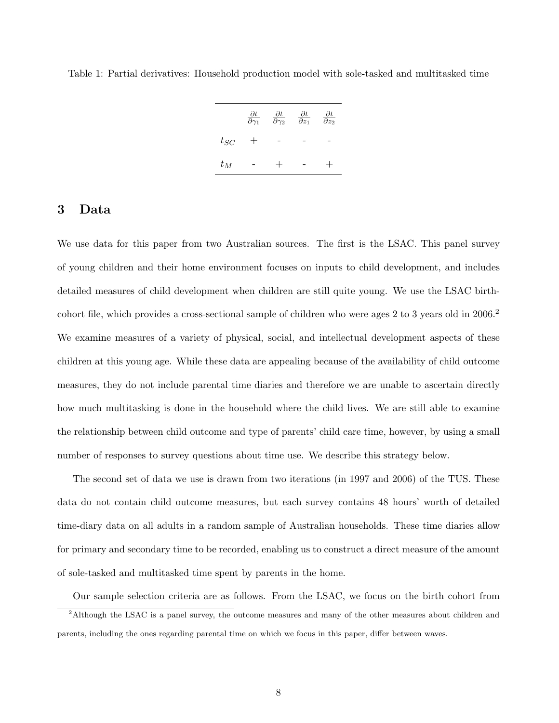|          | $\frac{\partial t}{\partial \gamma_1}$ | $\frac{\partial t}{\partial \gamma_2}$ | $\frac{\partial t}{\partial z_1}$ | $\frac{\partial t}{\partial z_2}$ |
|----------|----------------------------------------|----------------------------------------|-----------------------------------|-----------------------------------|
| $t_{SC}$ | $^{+}$                                 |                                        |                                   |                                   |
| $t_M$    |                                        |                                        |                                   |                                   |

Table 1: Partial derivatives: Household production model with sole-tasked and multitasked time

### 3 Data

We use data for this paper from two Australian sources. The first is the LSAC. This panel survey of young children and their home environment focuses on inputs to child development, and includes detailed measures of child development when children are still quite young. We use the LSAC birthcohort file, which provides a cross-sectional sample of children who were ages 2 to 3 years old in 2006.<sup>2</sup> We examine measures of a variety of physical, social, and intellectual development aspects of these children at this young age. While these data are appealing because of the availability of child outcome measures, they do not include parental time diaries and therefore we are unable to ascertain directly how much multitasking is done in the household where the child lives. We are still able to examine the relationship between child outcome and type of parents' child care time, however, by using a small number of responses to survey questions about time use. We describe this strategy below.

The second set of data we use is drawn from two iterations (in 1997 and 2006) of the TUS. These data do not contain child outcome measures, but each survey contains 48 hours' worth of detailed time-diary data on all adults in a random sample of Australian households. These time diaries allow for primary and secondary time to be recorded, enabling us to construct a direct measure of the amount of sole-tasked and multitasked time spent by parents in the home.

Our sample selection criteria are as follows. From the LSAC, we focus on the birth cohort from

<sup>&</sup>lt;sup>2</sup>Although the LSAC is a panel survey, the outcome measures and many of the other measures about children and parents, including the ones regarding parental time on which we focus in this paper, differ between waves.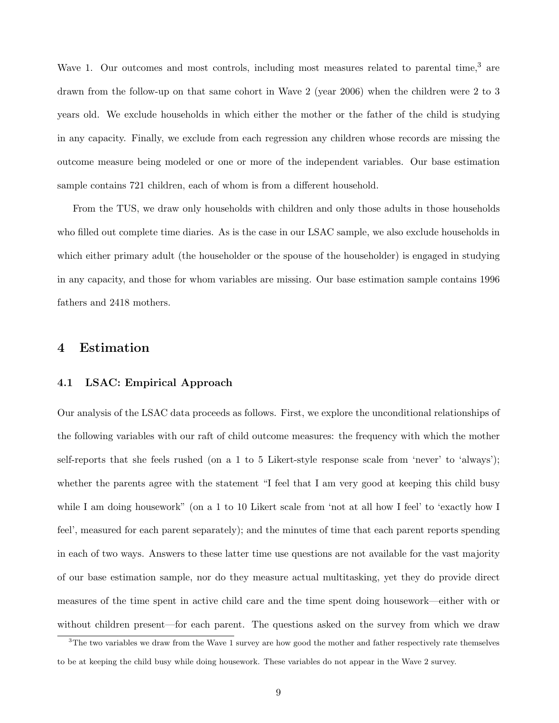Wave 1. Our outcomes and most controls, including most measures related to parental time,<sup>3</sup> are drawn from the follow-up on that same cohort in Wave 2 (year 2006) when the children were 2 to 3 years old. We exclude households in which either the mother or the father of the child is studying in any capacity. Finally, we exclude from each regression any children whose records are missing the outcome measure being modeled or one or more of the independent variables. Our base estimation sample contains 721 children, each of whom is from a different household.

From the TUS, we draw only households with children and only those adults in those households who filled out complete time diaries. As is the case in our LSAC sample, we also exclude households in which either primary adult (the householder or the spouse of the householder) is engaged in studying in any capacity, and those for whom variables are missing. Our base estimation sample contains 1996 fathers and 2418 mothers.

### 4 Estimation

#### 4.1 LSAC: Empirical Approach

Our analysis of the LSAC data proceeds as follows. First, we explore the unconditional relationships of the following variables with our raft of child outcome measures: the frequency with which the mother self-reports that she feels rushed (on a 1 to 5 Likert-style response scale from 'never' to 'always'); whether the parents agree with the statement "I feel that I am very good at keeping this child busy while I am doing housework" (on a 1 to 10 Likert scale from 'not at all how I feel' to 'exactly how I feel', measured for each parent separately); and the minutes of time that each parent reports spending in each of two ways. Answers to these latter time use questions are not available for the vast majority of our base estimation sample, nor do they measure actual multitasking, yet they do provide direct measures of the time spent in active child care and the time spent doing housework—either with or without children present—for each parent. The questions asked on the survey from which we draw

<sup>&</sup>lt;sup>3</sup>The two variables we draw from the Wave 1 survey are how good the mother and father respectively rate themselves to be at keeping the child busy while doing housework. These variables do not appear in the Wave 2 survey.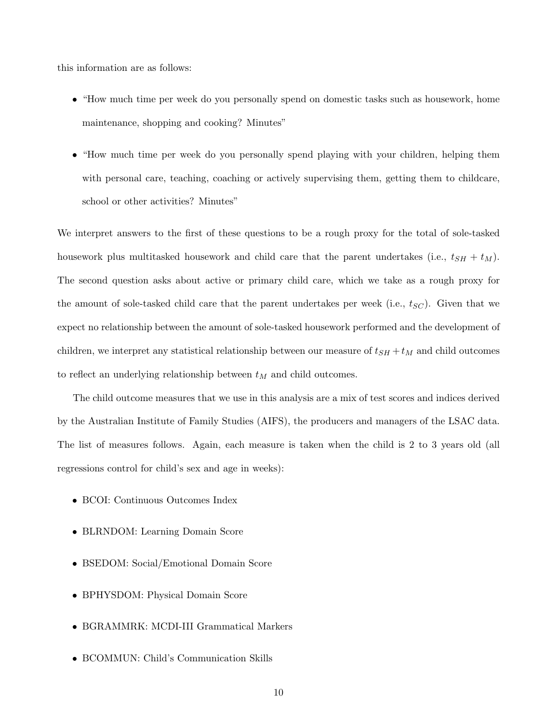this information are as follows:

- "How much time per week do you personally spend on domestic tasks such as housework, home maintenance, shopping and cooking? Minutes"
- "How much time per week do you personally spend playing with your children, helping them with personal care, teaching, coaching or actively supervising them, getting them to childcare, school or other activities? Minutes"

We interpret answers to the first of these questions to be a rough proxy for the total of sole-tasked housework plus multitasked housework and child care that the parent undertakes (i.e.,  $t_{SH} + t_M$ ). The second question asks about active or primary child care, which we take as a rough proxy for the amount of sole-tasked child care that the parent undertakes per week (i.e.,  $t_{SC}$ ). Given that we expect no relationship between the amount of sole-tasked housework performed and the development of children, we interpret any statistical relationship between our measure of  $t_{SH} + t_M$  and child outcomes to reflect an underlying relationship between  $t_M$  and child outcomes.

The child outcome measures that we use in this analysis are a mix of test scores and indices derived by the Australian Institute of Family Studies (AIFS), the producers and managers of the LSAC data. The list of measures follows. Again, each measure is taken when the child is 2 to 3 years old (all regressions control for child's sex and age in weeks):

- BCOI: Continuous Outcomes Index
- BLRNDOM: Learning Domain Score
- BSEDOM: Social/Emotional Domain Score
- BPHYSDOM: Physical Domain Score
- BGRAMMRK: MCDI-III Grammatical Markers
- BCOMMUN: Child's Communication Skills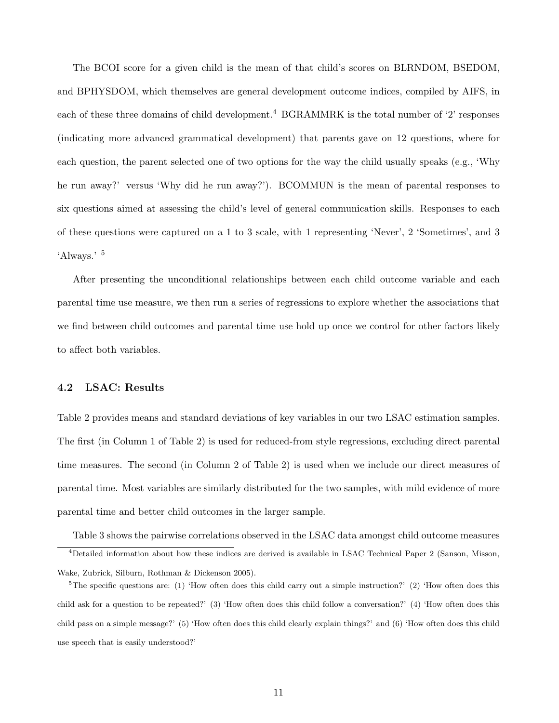The BCOI score for a given child is the mean of that child's scores on BLRNDOM, BSEDOM, and BPHYSDOM, which themselves are general development outcome indices, compiled by AIFS, in each of these three domains of child development.<sup>4</sup> BGRAMMRK is the total number of  $2'$  responses (indicating more advanced grammatical development) that parents gave on 12 questions, where for each question, the parent selected one of two options for the way the child usually speaks (e.g., 'Why he run away?' versus 'Why did he run away?'). BCOMMUN is the mean of parental responses to six questions aimed at assessing the child's level of general communication skills. Responses to each of these questions were captured on a 1 to 3 scale, with 1 representing 'Never', 2 'Sometimes', and 3 'Always.' <sup>5</sup>

After presenting the unconditional relationships between each child outcome variable and each parental time use measure, we then run a series of regressions to explore whether the associations that we find between child outcomes and parental time use hold up once we control for other factors likely to affect both variables.

#### 4.2 LSAC: Results

Table 2 provides means and standard deviations of key variables in our two LSAC estimation samples. The first (in Column 1 of Table 2) is used for reduced-from style regressions, excluding direct parental time measures. The second (in Column 2 of Table 2) is used when we include our direct measures of parental time. Most variables are similarly distributed for the two samples, with mild evidence of more parental time and better child outcomes in the larger sample.

Table 3 shows the pairwise correlations observed in the LSAC data amongst child outcome measures

<sup>4</sup>Detailed information about how these indices are derived is available in LSAC Technical Paper 2 (Sanson, Misson, Wake, Zubrick, Silburn, Rothman & Dickenson 2005).

 ${}^{5}$ The specific questions are: (1) 'How often does this child carry out a simple instruction?' (2) 'How often does this child ask for a question to be repeated?' (3) 'How often does this child follow a conversation?' (4) 'How often does this child pass on a simple message?' (5) 'How often does this child clearly explain things?' and (6) 'How often does this child use speech that is easily understood?'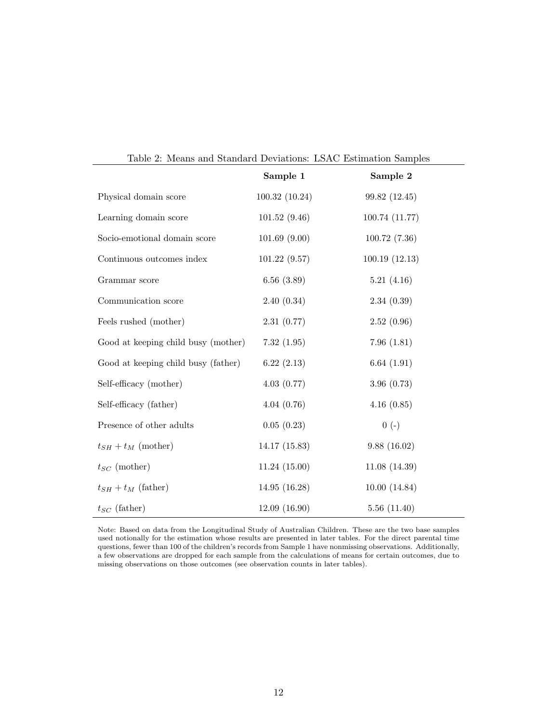|                                     | Sample 1       | Sample 2       |
|-------------------------------------|----------------|----------------|
| Physical domain score               | 100.32 (10.24) | 99.82 (12.45)  |
| Learning domain score               | 101.52(9.46)   | 100.74 (11.77) |
| Socio-emotional domain score        | 101.69(9.00)   | 100.72(7.36)   |
| Continuous outcomes index           | 101.22(9.57)   | 100.19(12.13)  |
| Grammar score                       | 6.56(3.89)     | 5.21(4.16)     |
| Communication score                 | 2.40(0.34)     | 2.34(0.39)     |
| Feels rushed (mother)               | 2.31(0.77)     | 2.52(0.96)     |
| Good at keeping child busy (mother) | 7.32(1.95)     | 7.96(1.81)     |
| Good at keeping child busy (father) | 6.22(2.13)     | 6.64(1.91)     |
| Self-efficacy (mother)              | 4.03(0.77)     | 3.96(0.73)     |
| Self-efficacy (father)              | 4.04(0.76)     | 4.16(0.85)     |
| Presence of other adults            | 0.05(0.23)     | $0(-)$         |
| $t_{SH} + t_M$ (mother)             | 14.17(15.83)   | 9.88(16.02)    |
| $t_{SC}$ (mother)                   | 11.24(15.00)   | 11.08(14.39)   |
| $t_{SH} + t_M$ (father)             | 14.95(16.28)   | 10.00(14.84)   |
| $t_{SC}$ (father)                   | 12.09(16.90)   | 5.56(11.40)    |

Table 2: Means and Standard Deviations: LSAC Estimation Samples

Note: Based on data from the Longitudinal Study of Australian Children. These are the two base samples used notionally for the estimation whose results are presented in later tables. For the direct parental time questions, fewer than 100 of the children's records from Sample 1 have nonmissing observations. Additionally, a few observations are dropped for each sample from the calculations of means for certain outcomes, due to missing observations on those outcomes (see observation counts in later tables).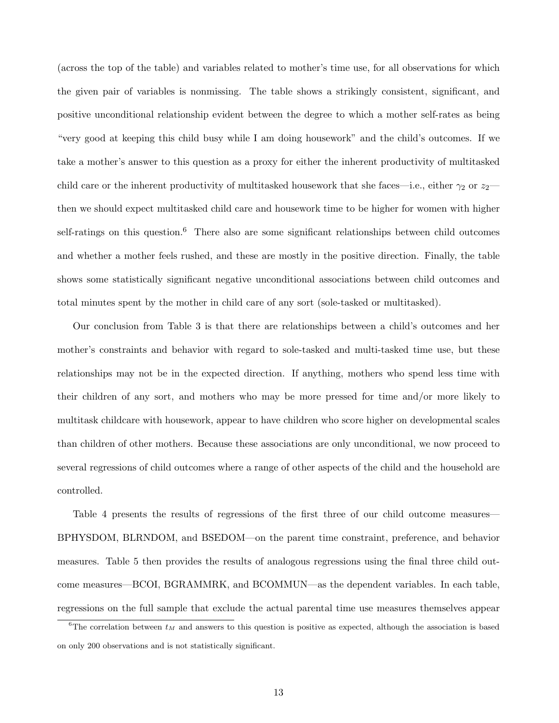(across the top of the table) and variables related to mother's time use, for all observations for which the given pair of variables is nonmissing. The table shows a strikingly consistent, significant, and positive unconditional relationship evident between the degree to which a mother self-rates as being "very good at keeping this child busy while I am doing housework" and the child's outcomes. If we take a mother's answer to this question as a proxy for either the inherent productivity of multitasked child care or the inherent productivity of multitasked housework that she faces—i.e., either  $\gamma_2$  or  $z_2$  then we should expect multitasked child care and housework time to be higher for women with higher self-ratings on this question.<sup>6</sup> There also are some significant relationships between child outcomes and whether a mother feels rushed, and these are mostly in the positive direction. Finally, the table shows some statistically significant negative unconditional associations between child outcomes and total minutes spent by the mother in child care of any sort (sole-tasked or multitasked).

Our conclusion from Table 3 is that there are relationships between a child's outcomes and her mother's constraints and behavior with regard to sole-tasked and multi-tasked time use, but these relationships may not be in the expected direction. If anything, mothers who spend less time with their children of any sort, and mothers who may be more pressed for time and/or more likely to multitask childcare with housework, appear to have children who score higher on developmental scales than children of other mothers. Because these associations are only unconditional, we now proceed to several regressions of child outcomes where a range of other aspects of the child and the household are controlled.

Table 4 presents the results of regressions of the first three of our child outcome measures— BPHYSDOM, BLRNDOM, and BSEDOM—on the parent time constraint, preference, and behavior measures. Table 5 then provides the results of analogous regressions using the final three child outcome measures—BCOI, BGRAMMRK, and BCOMMUN—as the dependent variables. In each table, regressions on the full sample that exclude the actual parental time use measures themselves appear

<sup>&</sup>lt;sup>6</sup>The correlation between  $t_M$  and answers to this question is positive as expected, although the association is based on only 200 observations and is not statistically significant.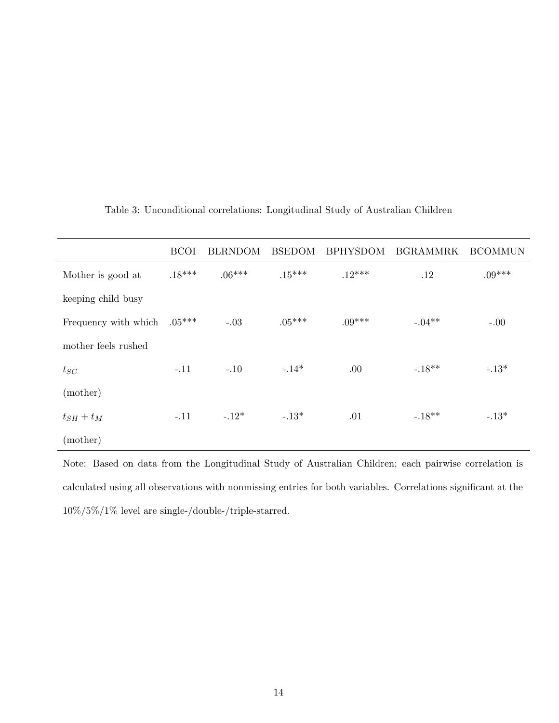|                      | <b>BCOI</b> | <b>BLRNDOM</b> | <b>BSEDOM</b> | <b>BPHYSDOM</b> | <b>BGRAMMRK</b> | <b>BCOMMUN</b> |
|----------------------|-------------|----------------|---------------|-----------------|-----------------|----------------|
| Mother is good at    | $.18***$    | $.06***$       | $.15***$      | $.12***$        | .12             | $.09***$       |
| keeping child busy   |             |                |               |                 |                 |                |
| Frequency with which | $.05***$    | $-.03$         | $.05***$      | $.09***$        | $-.04**$        | $-.00$         |
| mother feels rushed  |             |                |               |                 |                 |                |
| $t_{SC}$             | $-.11$      | $-.10$         | $-.14*$       | .00             | $-.18**$        | $-.13*$        |
| (mother)             |             |                |               |                 |                 |                |
| $t_{SH}+t_M$         | $-.11$      | $-.12*$        | $-.13*$       | .01             | $-18**$         | $-.13*$        |
| (mother)             |             |                |               |                 |                 |                |

### Table 3: Unconditional correlations: Longitudinal Study of Australian Children

Note: Based on data from the Longitudinal Study of Australian Children; each pairwise correlation is calculated using all observations with nonmissing entries for both variables. Correlations significant at the  $10\%/5\%/1\%$  level are single-/double-/triple-starred.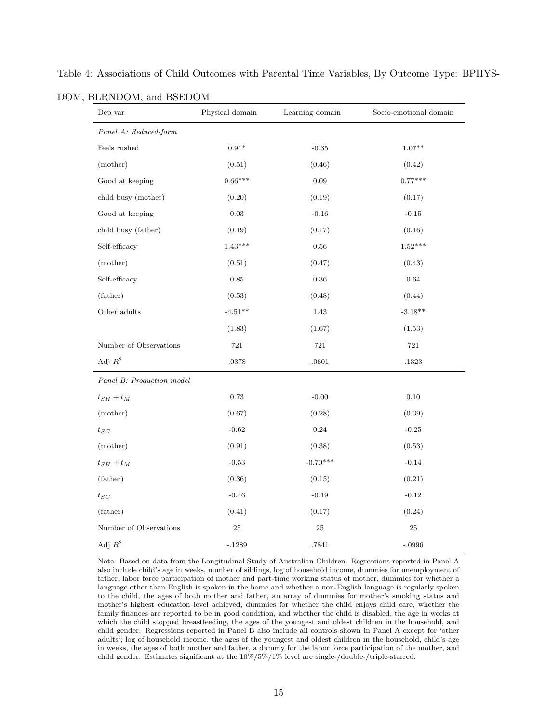| Dep var                   | Physical domain | Learning domain | Socio-emotional domain |
|---------------------------|-----------------|-----------------|------------------------|
| Panel A: Reduced-form     |                 |                 |                        |
| Feels rushed              | $0.91*$         | $-0.35$         | $1.07**$               |
| (mother)                  | (0.51)          | (0.46)          | (0.42)                 |
| Good at keeping           | $0.66***$       | 0.09            | $0.77***$              |
| child busy (mother)       | (0.20)          | (0.19)          | (0.17)                 |
| Good at keeping           | 0.03            | $-0.16$         | $-0.15$                |
| child busy (father)       | (0.19)          | (0.17)          | (0.16)                 |
| Self-efficacy             | $1.43***$       | $\,0.56$        | $1.52***$              |
| (mother)                  | (0.51)          | (0.47)          | (0.43)                 |
| Self-efficacy             | 0.85            | 0.36            | $\,0.64\,$             |
| (father)                  | (0.53)          | (0.48)          | (0.44)                 |
| Other adults              | $-4.51**$       | 1.43            | $-3.18**$              |
|                           | (1.83)          | (1.67)          | (1.53)                 |
| Number of Observations    | 721             | 721             | 721                    |
| Adj $R^2$                 | .0378           | .0601           | .1323                  |
| Panel B: Production model |                 |                 |                        |
| $t_{SH} + t_M$            | 0.73            | $-0.00$         | 0.10                   |
| (mother)                  | (0.67)          | (0.28)          | (0.39)                 |
| $t_{SC}$                  | $-0.62$         | 0.24            | $-0.25$                |
| (mother)                  | (0.91)          | (0.38)          | (0.53)                 |
| $t_{SH}+t_M$              | $-0.53$         | $-0.70***$      | $-0.14$                |
| (father)                  | (0.36)          | (0.15)          | (0.21)                 |
| $t_{SC}$                  | $-0.46$         | $-0.19$         | $-0.12$                |
| (father)                  | (0.41)          | (0.17)          | (0.24)                 |
| Number of Observations    | 25              | 25              | 25                     |
| Adj $R^2$                 | $-.1289$        | .7841           | $-.0996$               |

Table 4: Associations of Child Outcomes with Parental Time Variables, By Outcome Type: BPHYS-

DOM, BLRNDOM, and BSEDOM

Note: Based on data from the Longitudinal Study of Australian Children. Regressions reported in Panel A also include child's age in weeks, number of siblings, log of household income, dummies for unemployment of father, labor force participation of mother and part-time working status of mother, dummies for whether a language other than English is spoken in the home and whether a non-English language is regularly spoken to the child, the ages of both mother and father, an array of dummies for mother's smoking status and mother's highest education level achieved, dummies for whether the child enjoys child care, whether the family finances are reported to be in good condition, and whether the child is disabled, the age in weeks at which the child stopped breastfeeding, the ages of the youngest and oldest children in the household, and child gender. Regressions reported in Panel B also include all controls shown in Panel A except for 'other adults'; log of household income, the ages of the youngest and oldest children in the household, child's age in weeks, the ages of both mother and father, a dummy for the labor force participation of the mother, and child gender. Estimates significant at the 10%/5%/1% level are single-/double-/triple-starred.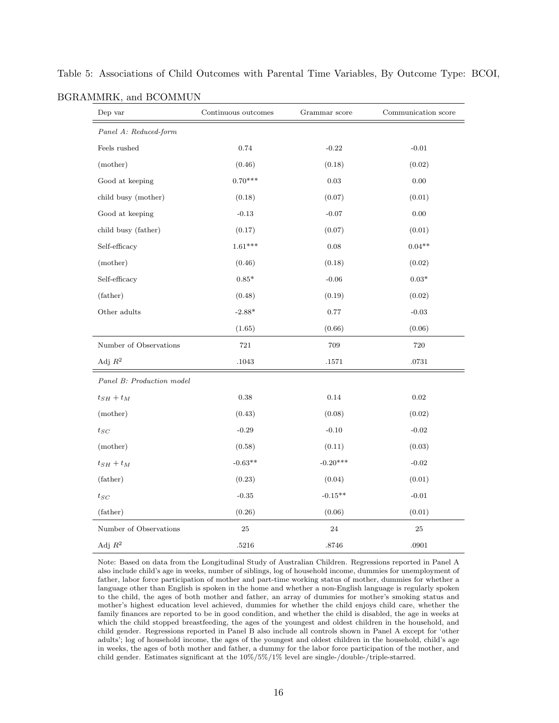| Dep var                   | Continuous outcomes | Grammar score | Communication score |
|---------------------------|---------------------|---------------|---------------------|
| Panel A: Reduced-form     |                     |               |                     |
| Feels rushed              | 0.74                | $-0.22$       | $-0.01$             |
| (mother)                  | (0.46)              | (0.18)        | (0.02)              |
| Good at keeping           | $0.70***$           | 0.03          | 0.00                |
| child busy (mother)       | (0.18)              | (0.07)        | (0.01)              |
| Good at keeping           | $-0.13$             | $-0.07$       | 0.00                |
| child busy (father)       | (0.17)              | (0.07)        | (0.01)              |
| Self-efficacy             | $1.61***$           | 0.08          | $0.04**$            |
| (mother)                  | (0.46)              | (0.18)        | (0.02)              |
| Self-efficacy             | $0.85*$             | $-0.06$       | $0.03*$             |
| (father)                  | (0.48)              | (0.19)        | (0.02)              |
| Other adults              | $-2.88*$            | 0.77          | $-0.03$             |
|                           | (1.65)              | (0.66)        | (0.06)              |
| Number of Observations    | 721                 | 709           | 720                 |
| Adj $R^2$                 | $.1043\,$           | .1571         | .0731               |
| Panel B: Production model |                     |               |                     |
| $t_{SH}+t_M$              | 0.38                | 0.14          | $\rm 0.02$          |
| (mother)                  | (0.43)              | (0.08)        | (0.02)              |
| $t_{SC}$                  | $-0.29$             | $-0.10$       | $-0.02$             |
| (mother)                  | (0.58)              | (0.11)        | (0.03)              |
| $t_{SH}+t_M$              | $-0.63**$           | $-0.20***$    | $-0.02$             |
| (father)                  | (0.23)              | (0.04)        | (0.01)              |
| $t_{SC}$                  | $-0.35$             | $-0.15**$     | $-0.01$             |
| (father)                  | (0.26)              | (0.06)        | (0.01)              |
| Number of Observations    | $25\,$              | 24            | 25                  |
| Adj $R^2$                 | .5216               | .8746         | .0901               |

Table 5: Associations of Child Outcomes with Parental Time Variables, By Outcome Type: BCOI,

BGRAMMRK, and BCOMMUN

Note: Based on data from the Longitudinal Study of Australian Children. Regressions reported in Panel A also include child's age in weeks, number of siblings, log of household income, dummies for unemployment of father, labor force participation of mother and part-time working status of mother, dummies for whether a language other than English is spoken in the home and whether a non-English language is regularly spoken to the child, the ages of both mother and father, an array of dummies for mother's smoking status and mother's highest education level achieved, dummies for whether the child enjoys child care, whether the family finances are reported to be in good condition, and whether the child is disabled, the age in weeks at which the child stopped breastfeeding, the ages of the youngest and oldest children in the household, and child gender. Regressions reported in Panel B also include all controls shown in Panel A except for 'other adults'; log of household income, the ages of the youngest and oldest children in the household, child's age in weeks, the ages of both mother and father, a dummy for the labor force participation of the mother, and child gender. Estimates significant at the 10%/5%/1% level are single-/double-/triple-starred.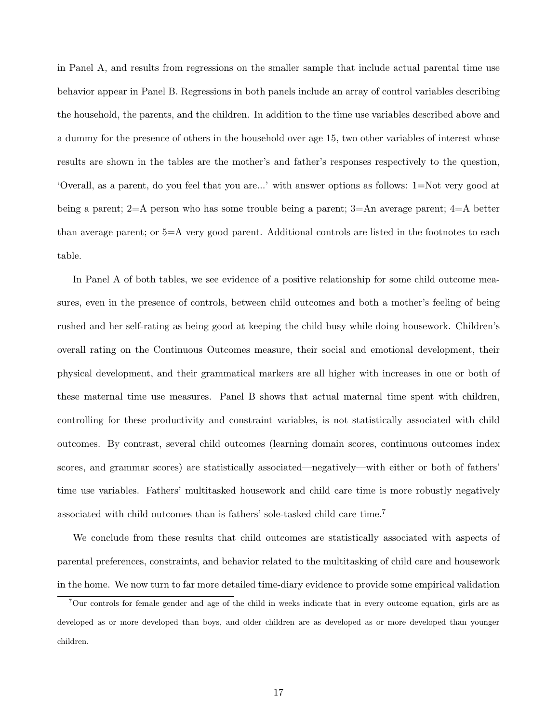in Panel A, and results from regressions on the smaller sample that include actual parental time use behavior appear in Panel B. Regressions in both panels include an array of control variables describing the household, the parents, and the children. In addition to the time use variables described above and a dummy for the presence of others in the household over age 15, two other variables of interest whose results are shown in the tables are the mother's and father's responses respectively to the question, 'Overall, as a parent, do you feel that you are...' with answer options as follows: 1=Not very good at being a parent; 2=A person who has some trouble being a parent; 3=An average parent; 4=A better than average parent; or 5=A very good parent. Additional controls are listed in the footnotes to each table.

In Panel A of both tables, we see evidence of a positive relationship for some child outcome measures, even in the presence of controls, between child outcomes and both a mother's feeling of being rushed and her self-rating as being good at keeping the child busy while doing housework. Children's overall rating on the Continuous Outcomes measure, their social and emotional development, their physical development, and their grammatical markers are all higher with increases in one or both of these maternal time use measures. Panel B shows that actual maternal time spent with children, controlling for these productivity and constraint variables, is not statistically associated with child outcomes. By contrast, several child outcomes (learning domain scores, continuous outcomes index scores, and grammar scores) are statistically associated—negatively—with either or both of fathers' time use variables. Fathers' multitasked housework and child care time is more robustly negatively associated with child outcomes than is fathers' sole-tasked child care time.<sup>7</sup>

We conclude from these results that child outcomes are statistically associated with aspects of parental preferences, constraints, and behavior related to the multitasking of child care and housework in the home. We now turn to far more detailed time-diary evidence to provide some empirical validation

<sup>7</sup>Our controls for female gender and age of the child in weeks indicate that in every outcome equation, girls are as developed as or more developed than boys, and older children are as developed as or more developed than younger children.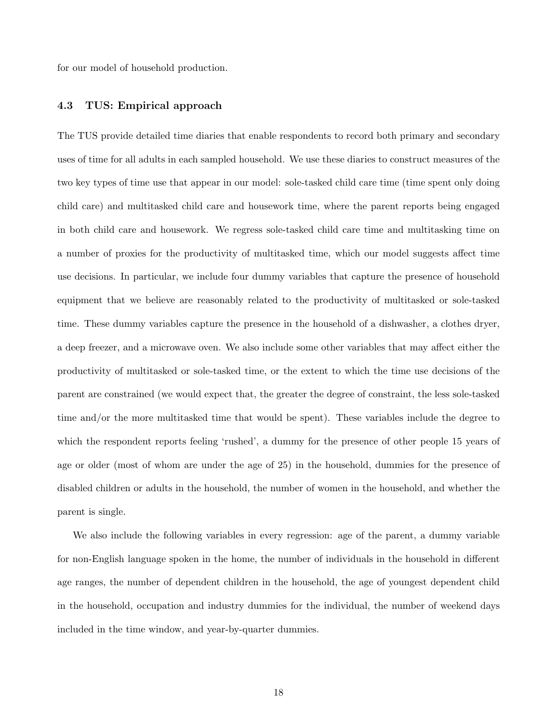for our model of household production.

### 4.3 TUS: Empirical approach

The TUS provide detailed time diaries that enable respondents to record both primary and secondary uses of time for all adults in each sampled household. We use these diaries to construct measures of the two key types of time use that appear in our model: sole-tasked child care time (time spent only doing child care) and multitasked child care and housework time, where the parent reports being engaged in both child care and housework. We regress sole-tasked child care time and multitasking time on a number of proxies for the productivity of multitasked time, which our model suggests affect time use decisions. In particular, we include four dummy variables that capture the presence of household equipment that we believe are reasonably related to the productivity of multitasked or sole-tasked time. These dummy variables capture the presence in the household of a dishwasher, a clothes dryer, a deep freezer, and a microwave oven. We also include some other variables that may affect either the productivity of multitasked or sole-tasked time, or the extent to which the time use decisions of the parent are constrained (we would expect that, the greater the degree of constraint, the less sole-tasked time and/or the more multitasked time that would be spent). These variables include the degree to which the respondent reports feeling 'rushed', a dummy for the presence of other people 15 years of age or older (most of whom are under the age of 25) in the household, dummies for the presence of disabled children or adults in the household, the number of women in the household, and whether the parent is single.

We also include the following variables in every regression: age of the parent, a dummy variable for non-English language spoken in the home, the number of individuals in the household in different age ranges, the number of dependent children in the household, the age of youngest dependent child in the household, occupation and industry dummies for the individual, the number of weekend days included in the time window, and year-by-quarter dummies.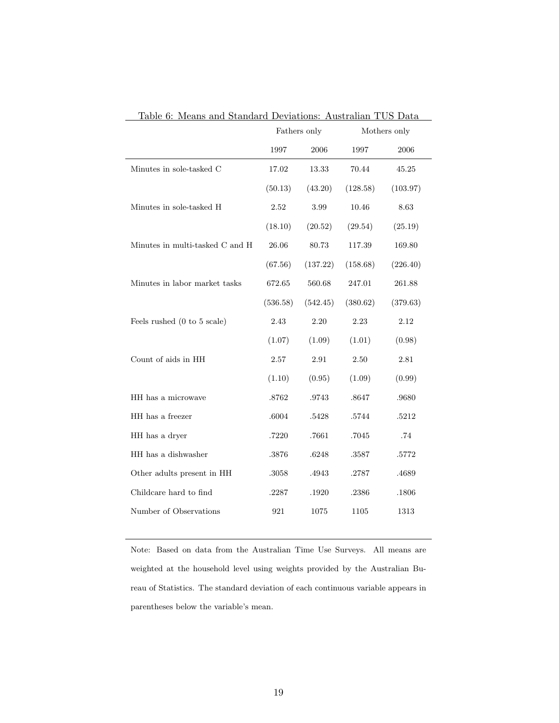|                                 | Fathers only |           | Mothers only |          |
|---------------------------------|--------------|-----------|--------------|----------|
|                                 | 1997         | 2006      | 1997         | 2006     |
| Minutes in sole-tasked C        | 17.02        | 13.33     | 70.44        | 45.25    |
|                                 | (50.13)      | (43.20)   | (128.58)     | (103.97) |
| Minutes in sole-tasked H        | 2.52         | 3.99      | 10.46        | 8.63     |
|                                 | (18.10)      | (20.52)   | (29.54)      | (25.19)  |
| Minutes in multi-tasked C and H | 26.06        | 80.73     | 117.39       | 169.80   |
|                                 | (67.56)      | (137.22)  | (158.68)     | (226.40) |
| Minutes in labor market tasks   | 672.65       | 560.68    | 247.01       | 261.88   |
|                                 | (536.58)     | (542.45)  | (380.62)     | (379.63) |
| Feels rushed (0 to 5 scale)     | 2.43         | 2.20      | 2.23         | 2.12     |
|                                 | (1.07)       | (1.09)    | (1.01)       | (0.98)   |
| Count of aids in HH             | 2.57         | 2.91      | 2.50         | 2.81     |
|                                 | (1.10)       | (0.95)    | (1.09)       | (0.99)   |
| HH has a microwave              | .8762        | .9743     | .8647        | .9680    |
| HH has a freezer                | .6004        | $.5428\,$ | $.5744\,$    | .5212    |
| HH has a dryer                  | .7220        | .7661     | .7045        | .74      |
| HH has a dishwasher             | .3876        | .6248     | .3587        | .5772    |
| Other adults present in HH      | .3058        | .4943     | .2787        | .4689    |
| Childcare hard to find          | .2287        | .1920     | .2386        | .1806    |
| Number of Observations          | 921          | 1075      | 1105         | 1313     |

Table 6: Means and Standard Deviations: Australian TUS Data  $\overline{\phantom{0}}$ 

Note: Based on data from the Australian Time Use Surveys. All means are weighted at the household level using weights provided by the Australian Bureau of Statistics. The standard deviation of each continuous variable appears in parentheses below the variable's mean.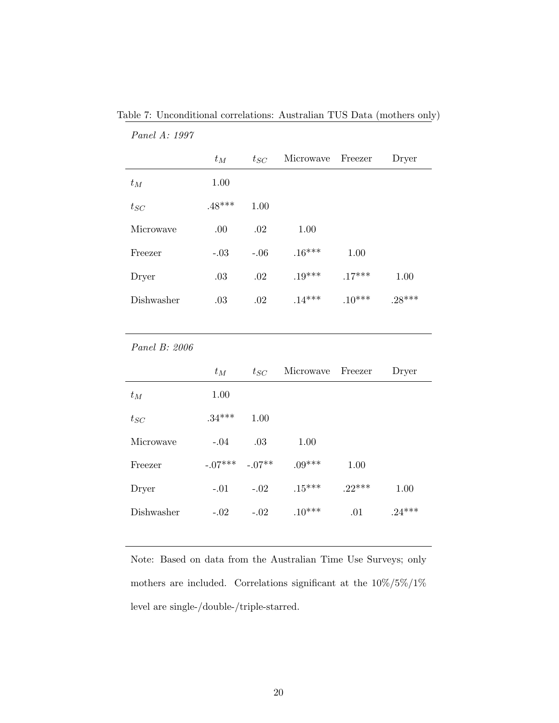|            | $t_M$    | $t_{SC}$ | Microwave | Freezer  | Dryer    |
|------------|----------|----------|-----------|----------|----------|
| $t_M$      | 1.00     |          |           |          |          |
| $t_{SC}$   | $.48***$ | 1.00     |           |          |          |
| Microwaye  | .00      | .02      | 1.00      |          |          |
| Freezer    | $-.03$   | $-.06$   | $.16***$  | 1.00     |          |
| Dryer      | .03      | .02      | $.19***$  | $.17***$ | 1.00     |
| Dishwasher | .03      | .02      | $.14***$  | $.10***$ | $.28***$ |

Table 7: Unconditional correlations: Australian TUS Data (mothers only)

Panel B: 2006

Panel A: 1997

|            | $t_M$     | $t_{SC}$ | Microwave Freezer |          | Dryer    |
|------------|-----------|----------|-------------------|----------|----------|
| $t_M$      | 1.00      |          |                   |          |          |
| $t_{SC}$   | $.34***$  | 1.00     |                   |          |          |
| Microwave  | $-.04$    | .03      | 1.00              |          |          |
| Freezer    | $-.07***$ | $-.07**$ | $.09***$          | 1.00     |          |
| Dryer      | $-.01$    | $-.02$   | $.15***$          | $.22***$ | 1.00     |
| Dishwasher | $-.02$    | $-.02$   | $.10***$          | .01      | $.24***$ |

Note: Based on data from the Australian Time Use Surveys; only mothers are included. Correlations significant at the  $10\%/5\%/1\%$ level are single-/double-/triple-starred.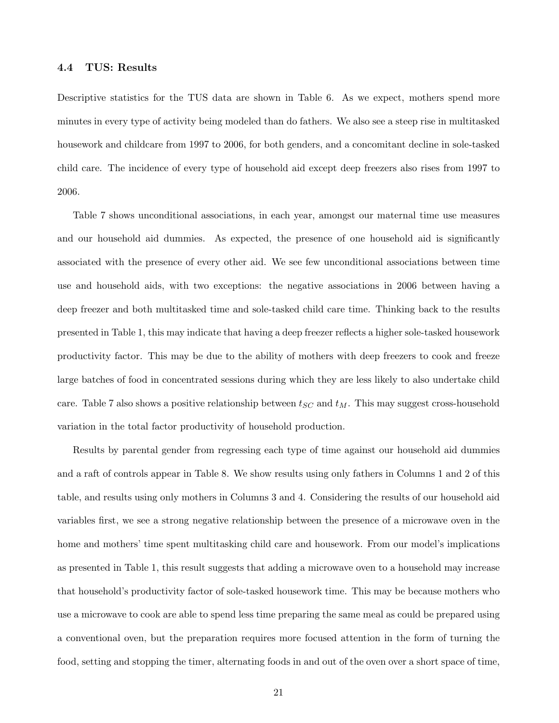#### 4.4 TUS: Results

Descriptive statistics for the TUS data are shown in Table 6. As we expect, mothers spend more minutes in every type of activity being modeled than do fathers. We also see a steep rise in multitasked housework and childcare from 1997 to 2006, for both genders, and a concomitant decline in sole-tasked child care. The incidence of every type of household aid except deep freezers also rises from 1997 to 2006.

Table 7 shows unconditional associations, in each year, amongst our maternal time use measures and our household aid dummies. As expected, the presence of one household aid is significantly associated with the presence of every other aid. We see few unconditional associations between time use and household aids, with two exceptions: the negative associations in 2006 between having a deep freezer and both multitasked time and sole-tasked child care time. Thinking back to the results presented in Table 1, this may indicate that having a deep freezer reflects a higher sole-tasked housework productivity factor. This may be due to the ability of mothers with deep freezers to cook and freeze large batches of food in concentrated sessions during which they are less likely to also undertake child care. Table 7 also shows a positive relationship between  $t_{SC}$  and  $t_M$ . This may suggest cross-household variation in the total factor productivity of household production.

Results by parental gender from regressing each type of time against our household aid dummies and a raft of controls appear in Table 8. We show results using only fathers in Columns 1 and 2 of this table, and results using only mothers in Columns 3 and 4. Considering the results of our household aid variables first, we see a strong negative relationship between the presence of a microwave oven in the home and mothers' time spent multitasking child care and housework. From our model's implications as presented in Table 1, this result suggests that adding a microwave oven to a household may increase that household's productivity factor of sole-tasked housework time. This may be because mothers who use a microwave to cook are able to spend less time preparing the same meal as could be prepared using a conventional oven, but the preparation requires more focused attention in the form of turning the food, setting and stopping the timer, alternating foods in and out of the oven over a short space of time,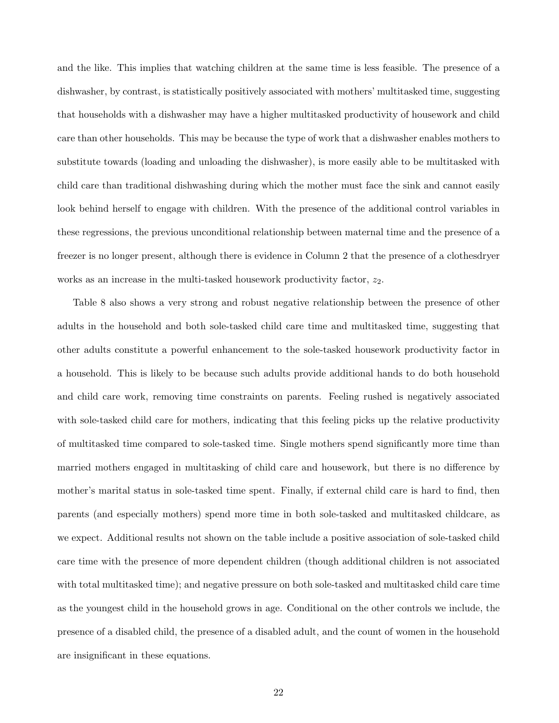and the like. This implies that watching children at the same time is less feasible. The presence of a dishwasher, by contrast, is statistically positively associated with mothers' multitasked time, suggesting that households with a dishwasher may have a higher multitasked productivity of housework and child care than other households. This may be because the type of work that a dishwasher enables mothers to substitute towards (loading and unloading the dishwasher), is more easily able to be multitasked with child care than traditional dishwashing during which the mother must face the sink and cannot easily look behind herself to engage with children. With the presence of the additional control variables in these regressions, the previous unconditional relationship between maternal time and the presence of a freezer is no longer present, although there is evidence in Column 2 that the presence of a clothesdryer works as an increase in the multi-tasked housework productivity factor,  $z_2$ .

Table 8 also shows a very strong and robust negative relationship between the presence of other adults in the household and both sole-tasked child care time and multitasked time, suggesting that other adults constitute a powerful enhancement to the sole-tasked housework productivity factor in a household. This is likely to be because such adults provide additional hands to do both household and child care work, removing time constraints on parents. Feeling rushed is negatively associated with sole-tasked child care for mothers, indicating that this feeling picks up the relative productivity of multitasked time compared to sole-tasked time. Single mothers spend significantly more time than married mothers engaged in multitasking of child care and housework, but there is no difference by mother's marital status in sole-tasked time spent. Finally, if external child care is hard to find, then parents (and especially mothers) spend more time in both sole-tasked and multitasked childcare, as we expect. Additional results not shown on the table include a positive association of sole-tasked child care time with the presence of more dependent children (though additional children is not associated with total multitasked time); and negative pressure on both sole-tasked and multitasked child care time as the youngest child in the household grows in age. Conditional on the other controls we include, the presence of a disabled child, the presence of a disabled adult, and the count of women in the household are insignificant in these equations.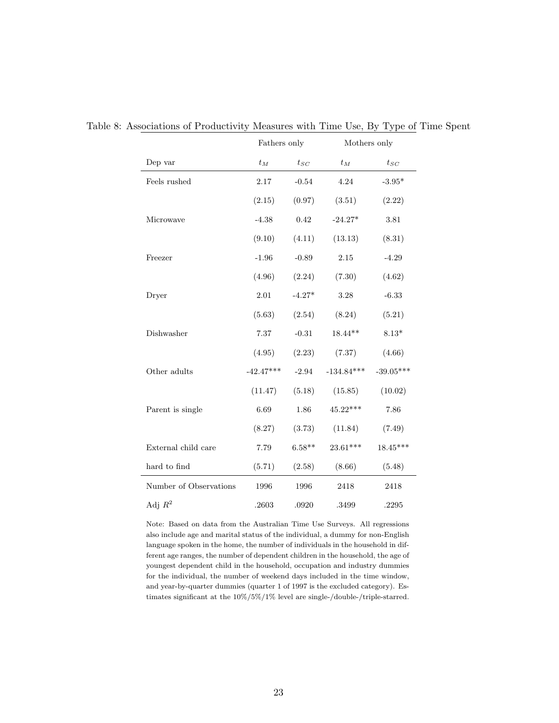|                        | Fathers only |          | Mothers only |             |
|------------------------|--------------|----------|--------------|-------------|
| Dep var                | $t_M$        | $t_{SC}$ | $t_M$        | $t_{SC}$    |
| Feels rushed           | 2.17         | $-0.54$  | 4.24         | $-3.95*$    |
|                        | (2.15)       | (0.97)   | (3.51)       | (2.22)      |
| Microwave              | $-4.38$      | 0.42     | $-24.27*$    | 3.81        |
|                        | (9.10)       | (4.11)   | (13.13)      | (8.31)      |
| Freezer                | $-1.96$      | $-0.89$  | 2.15         | $-4.29$     |
|                        | (4.96)       | (2.24)   | (7.30)       | (4.62)      |
| Dryer                  | 2.01         | $-4.27*$ | 3.28         | $-6.33$     |
|                        | (5.63)       | (2.54)   | (8.24)       | (5.21)      |
| Dishwasher             | 7.37         | $-0.31$  | $18.44**$    | $8.13*$     |
|                        | (4.95)       | (2.23)   | (7.37)       | (4.66)      |
| Other adults           | $-42.47***$  | $-2.94$  | $-134.84***$ | $-39.05***$ |
|                        | (11.47)      | (5.18)   | (15.85)      | (10.02)     |
| Parent is single       | 6.69         | 1.86     | $45.22***$   | 7.86        |
|                        | (8.27)       | (3.73)   | (11.84)      | (7.49)      |
| External child care    | 7.79         | $6.58**$ | 23.61***     | $18.45***$  |
| hard to find           | (5.71)       | (2.58)   | (8.66)       | (5.48)      |
| Number of Observations | 1996         | 1996     | 2418         | 2418        |
| Adj $R^2$              | .2603        | .0920    | .3499        | .2295       |

Table 8: Associations of Productivity Measures with Time Use, By Type of Time Spent

Note: Based on data from the Australian Time Use Surveys. All regressions also include age and marital status of the individual, a dummy for non-English language spoken in the home, the number of individuals in the household in different age ranges, the number of dependent children in the household, the age of youngest dependent child in the household, occupation and industry dummies for the individual, the number of weekend days included in the time window, and year-by-quarter dummies (quarter 1 of 1997 is the excluded category). Estimates significant at the 10%/5%/1% level are single-/double-/triple-starred.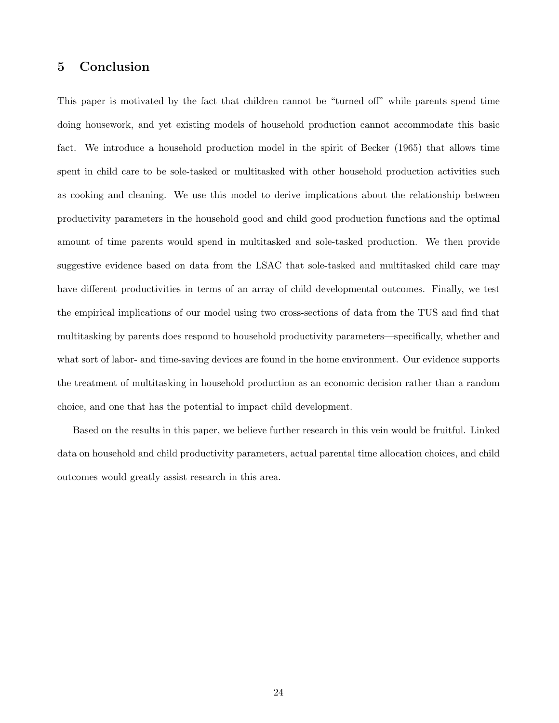# 5 Conclusion

This paper is motivated by the fact that children cannot be "turned off" while parents spend time doing housework, and yet existing models of household production cannot accommodate this basic fact. We introduce a household production model in the spirit of Becker (1965) that allows time spent in child care to be sole-tasked or multitasked with other household production activities such as cooking and cleaning. We use this model to derive implications about the relationship between productivity parameters in the household good and child good production functions and the optimal amount of time parents would spend in multitasked and sole-tasked production. We then provide suggestive evidence based on data from the LSAC that sole-tasked and multitasked child care may have different productivities in terms of an array of child developmental outcomes. Finally, we test the empirical implications of our model using two cross-sections of data from the TUS and find that multitasking by parents does respond to household productivity parameters—specifically, whether and what sort of labor- and time-saving devices are found in the home environment. Our evidence supports the treatment of multitasking in household production as an economic decision rather than a random choice, and one that has the potential to impact child development.

Based on the results in this paper, we believe further research in this vein would be fruitful. Linked data on household and child productivity parameters, actual parental time allocation choices, and child outcomes would greatly assist research in this area.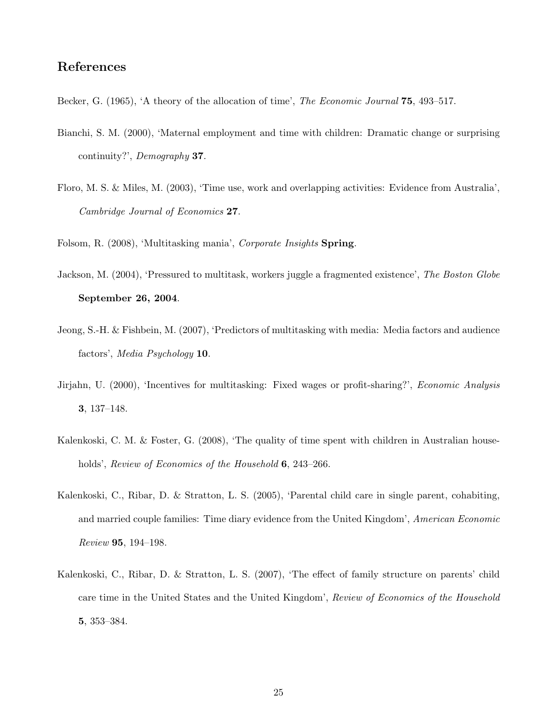# References

- Becker, G. (1965), 'A theory of the allocation of time', The Economic Journal 75, 493–517.
- Bianchi, S. M. (2000), 'Maternal employment and time with children: Dramatic change or surprising continuity?', Demography 37.
- Floro, M. S. & Miles, M. (2003), 'Time use, work and overlapping activities: Evidence from Australia', Cambridge Journal of Economics 27.

Folsom, R. (2008), 'Multitasking mania', *Corporate Insights* Spring.

- Jackson, M. (2004), 'Pressured to multitask, workers juggle a fragmented existence', The Boston Globe September 26, 2004.
- Jeong, S.-H. & Fishbein, M. (2007), 'Predictors of multitasking with media: Media factors and audience factors', Media Psychology 10.
- Jirjahn, U. (2000), 'Incentives for multitasking: Fixed wages or profit-sharing?', Economic Analysis 3, 137–148.
- Kalenkoski, C. M. & Foster, G. (2008), 'The quality of time spent with children in Australian households', Review of Economics of the Household 6, 243–266.
- Kalenkoski, C., Ribar, D. & Stratton, L. S. (2005), 'Parental child care in single parent, cohabiting, and married couple families: Time diary evidence from the United Kingdom', American Economic Review 95, 194–198.
- Kalenkoski, C., Ribar, D. & Stratton, L. S. (2007), 'The effect of family structure on parents' child care time in the United States and the United Kingdom', Review of Economics of the Household 5, 353–384.